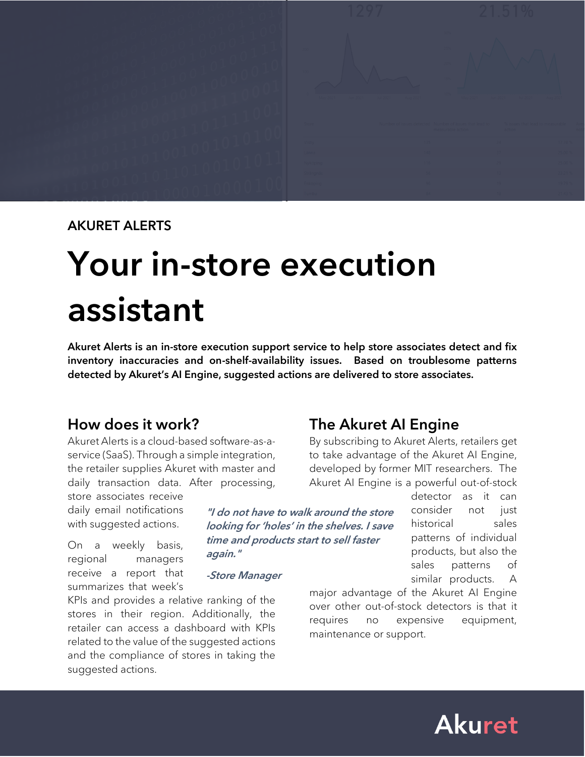

#### AKURET ALERTS

# Your in-store execution assistant

Akuret Alerts is an in-store execution support service to help store associates detect and fix inventory inaccuracies and on-shelf-availability issues. Based on troublesome patterns detected by Akuret's AI Engine, suggested actions are delivered to store associates.

> "I do not have to walk around the store looking for 'holes' in the shelves. I save time and products start to sell faster

# How does it work?

Akuret Alerts is a cloud-based software-as-aservice (SaaS). Through a simple integration, the retailer supplies Akuret with master and daily transaction data. After processing,

store associates receive daily email notifications with suggested actions.

On a weekly basis, regional managers receive a report that summarizes that week's

KPIs and provides a relative ranking of the stores in their region. Additionally, the retailer can access a dashboard with KPIs related to the value of the suggested actions and the compliance of stores in taking the suggested actions.

again."

-Store Manager

The Akuret AI Engine

By subscribing to Akuret Alerts, retailers get to take advantage of the Akuret AI Engine, developed by former MIT researchers. The Akuret AI Engine is a powerful out-of-stock

> detector as it can consider not just historical sales patterns of individual products, but also the sales patterns of similar products. A

major advantage of the Akuret AI Engine over other out-of-stock detectors is that it requires no expensive equipment, maintenance or support.